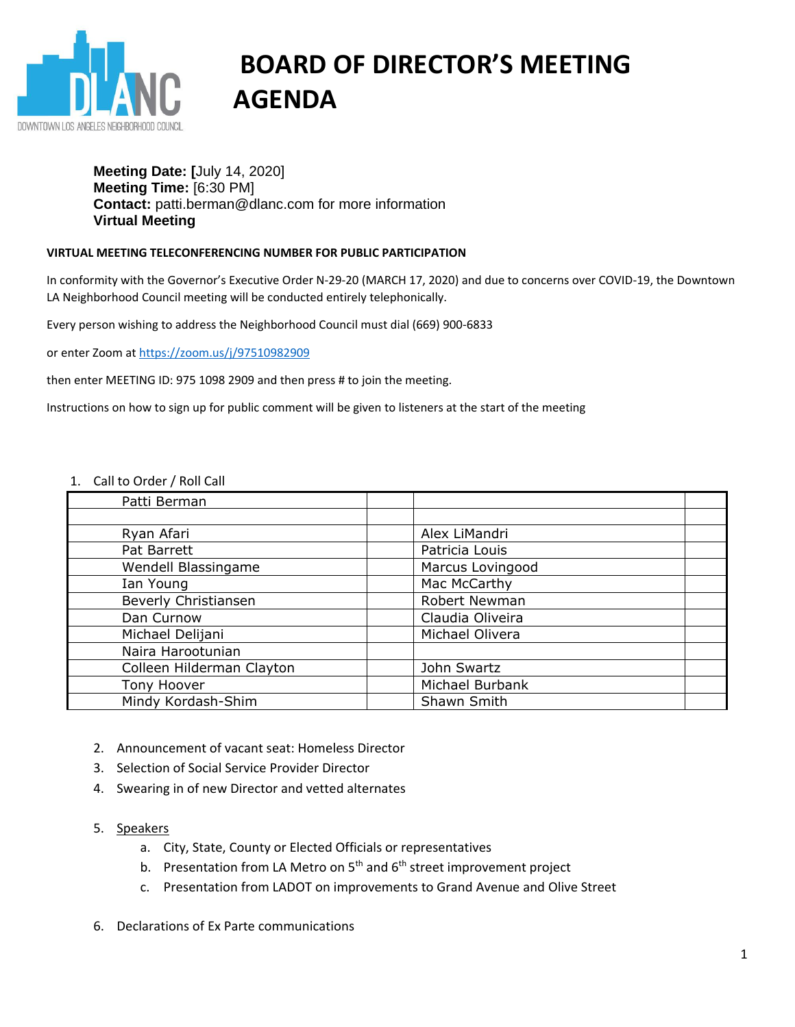

# **BOARD OF DIRECTOR'S MEETING AGENDA**

## **Meeting Date: [**July 14, 2020] **Meeting Time:** [6:30 PM] **Contact:** patti.berman@dlanc.com for more information **Virtual Meeting**

### **VIRTUAL MEETING TELECONFERENCING NUMBER FOR PUBLIC PARTICIPATION**

In conformity with the Governor's Executive Order N-29-20 (MARCH 17, 2020) and due to concerns over COVID-19, the Downtown LA Neighborhood Council meeting will be conducted entirely telephonically.

Every person wishing to address the Neighborhood Council must dial (669) 900-6833

or enter Zoom at<https://zoom.us/j/97510982909>

then enter MEETING ID: 975 1098 2909 and then press # to join the meeting.

Instructions on how to sign up for public comment will be given to listeners at the start of the meeting

#### 1. Call to Order / Roll Call

| Alex LiMandri    |  |
|------------------|--|
| Patricia Louis   |  |
| Marcus Lovingood |  |
| Mac McCarthy     |  |
| Robert Newman    |  |
| Claudia Oliveira |  |
| Michael Olivera  |  |
|                  |  |
| John Swartz      |  |
| Michael Burbank  |  |
| Shawn Smith      |  |
|                  |  |

- 2. Announcement of vacant seat: Homeless Director
- 3. Selection of Social Service Provider Director
- 4. Swearing in of new Director and vetted alternates
- 5. Speakers
	- a. City, State, County or Elected Officials or representatives
	- b. Presentation from LA Metro on  $5<sup>th</sup>$  and  $6<sup>th</sup>$  street improvement project
	- c. Presentation from LADOT on improvements to Grand Avenue and Olive Street
- 6. Declarations of Ex Parte communications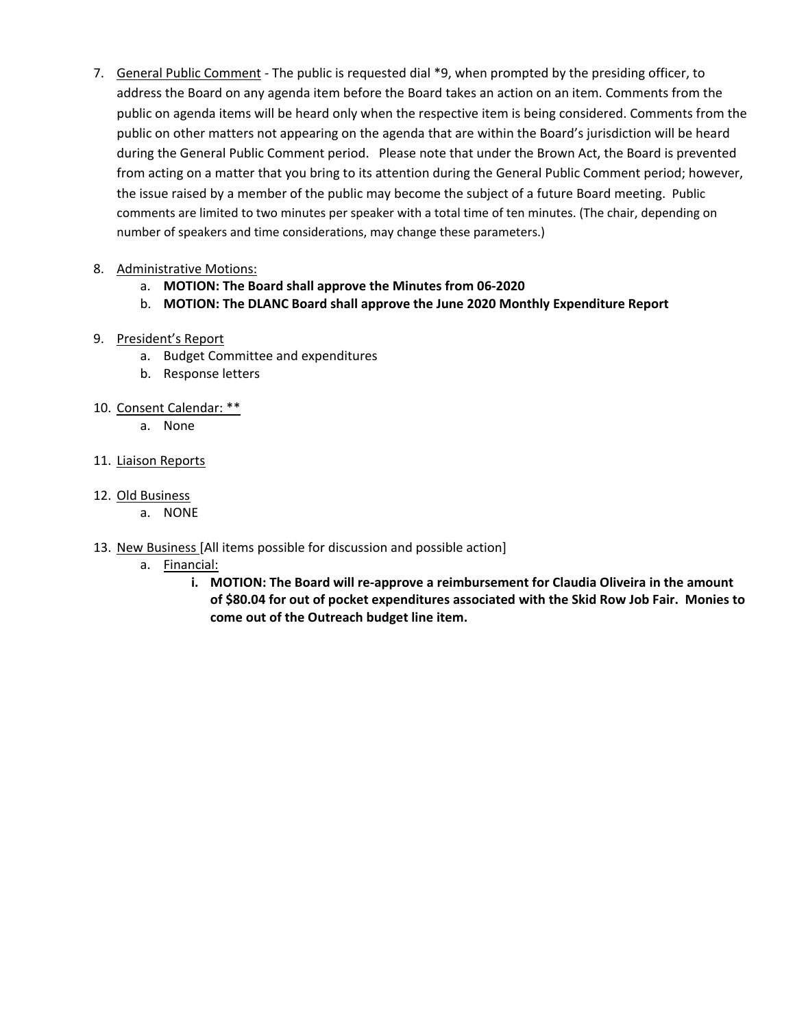7. General Public Comment - The public is requested dial \*9, when prompted by the presiding officer, to address the Board on any agenda item before the Board takes an action on an item. Comments from the public on agenda items will be heard only when the respective item is being considered. Comments from the public on other matters not appearing on the agenda that are within the Board's jurisdiction will be heard during the General Public Comment period. Please note that under the Brown Act, the Board is prevented from acting on a matter that you bring to its attention during the General Public Comment period; however, the issue raised by a member of the public may become the subject of a future Board meeting. Public comments are limited to two minutes per speaker with a total time of ten minutes. (The chair, depending on number of speakers and time considerations, may change these parameters.)

## 8. Administrative Motions:

- a. **MOTION: The Board shall approve the Minutes from 06-2020**
- b. **MOTION: The DLANC Board shall approve the June 2020 Monthly Expenditure Report**
- 9. President's Report
	- a. Budget Committee and expenditures
	- b. Response letters
- 10. Consent Calendar: \*\*
	- a. None
- 11. Liaison Reports
- 12. Old Business
	- a. NONE
- 13. New Business [All items possible for discussion and possible action]
	- a. Financial:
		- **i. MOTION: The Board will re-approve a reimbursement for Claudia Oliveira in the amount of \$80.04 for out of pocket expenditures associated with the Skid Row Job Fair. Monies to come out of the Outreach budget line item.**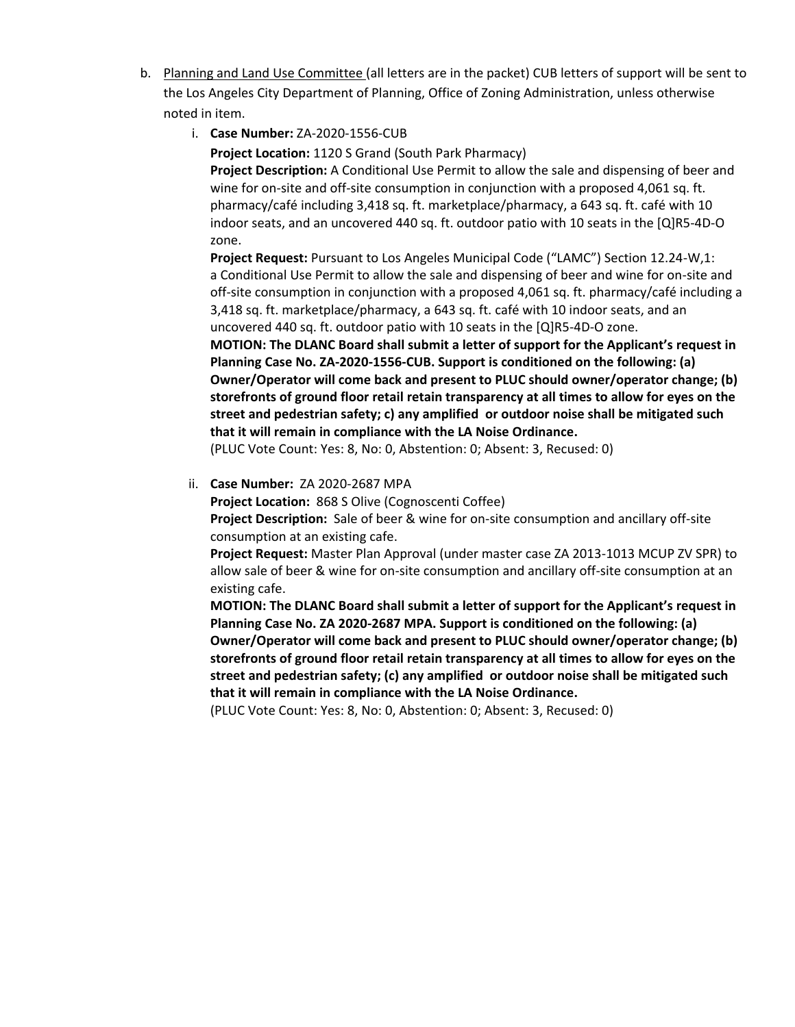- b. Planning and Land Use Committee (all letters are in the packet) CUB letters of support will be sent to the Los Angeles City Department of Planning, Office of Zoning Administration, unless otherwise noted in item.
	- i. **Case Number:** ZA-2020-1556-CUB

**Project Location:** 1120 S Grand (South Park Pharmacy)

**Project Description:** A Conditional Use Permit to allow the sale and dispensing of beer and wine for on-site and off-site consumption in conjunction with a proposed 4,061 sq. ft. pharmacy/café including 3,418 sq. ft. marketplace/pharmacy, a 643 sq. ft. café with 10 indoor seats, and an uncovered 440 sq. ft. outdoor patio with 10 seats in the [Q]R5-4D-O zone.

**Project Request:** Pursuant to Los Angeles Municipal Code ("LAMC") Section 12.24-W,1: a Conditional Use Permit to allow the sale and dispensing of beer and wine for on-site and off-site consumption in conjunction with a proposed 4,061 sq. ft. pharmacy/café including a 3,418 sq. ft. marketplace/pharmacy, a 643 sq. ft. café with 10 indoor seats, and an uncovered 440 sq. ft. outdoor patio with 10 seats in the [Q]R5-4D-O zone.

**MOTION: The DLANC Board shall submit a letter of support for the Applicant's request in Planning Case No. ZA-2020-1556-CUB. Support is conditioned on the following: (a) Owner/Operator will come back and present to PLUC should owner/operator change; (b) storefronts of ground floor retail retain transparency at all times to allow for eyes on the street and pedestrian safety; c) any amplified or outdoor noise shall be mitigated such that it will remain in compliance with the LA Noise Ordinance.**

(PLUC Vote Count: Yes: 8, No: 0, Abstention: 0; Absent: 3, Recused: 0)

#### ii. **Case Number:** ZA 2020-2687 MPA

**Project Location:** 868 S Olive (Cognoscenti Coffee) **Project Description:** Sale of beer & wine for on-site consumption and ancillary off-site consumption at an existing cafe.

**Project Request:** Master Plan Approval (under master case ZA 2013-1013 MCUP ZV SPR) to allow sale of beer & wine for on-site consumption and ancillary off-site consumption at an existing cafe.

**MOTION: The DLANC Board shall submit a letter of support for the Applicant's request in Planning Case No. ZA 2020-2687 MPA. Support is conditioned on the following: (a) Owner/Operator will come back and present to PLUC should owner/operator change; (b) storefronts of ground floor retail retain transparency at all times to allow for eyes on the street and pedestrian safety; (c) any amplified or outdoor noise shall be mitigated such that it will remain in compliance with the LA Noise Ordinance.**

(PLUC Vote Count: Yes: 8, No: 0, Abstention: 0; Absent: 3, Recused: 0)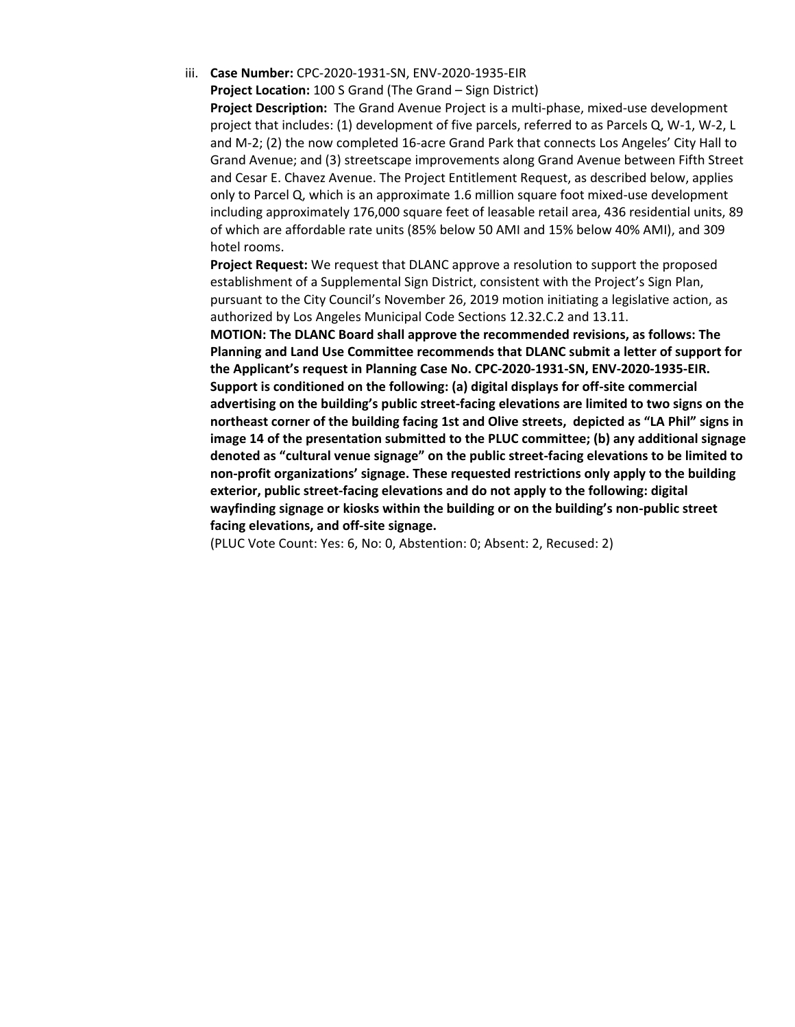iii. **Case Number:** CPC‐2020‐1931‐SN, ENV‐2020‐1935‐EIR

**Project Location:** 100 S Grand (The Grand – Sign District)

**Project Description:** The Grand Avenue Project is a multi-phase, mixed-use development project that includes: (1) development of five parcels, referred to as Parcels Q, W-1, W-2, L and M-2; (2) the now completed 16-acre Grand Park that connects Los Angeles' City Hall to Grand Avenue; and (3) streetscape improvements along Grand Avenue between Fifth Street and Cesar E. Chavez Avenue. The Project Entitlement Request, as described below, applies only to Parcel Q, which is an approximate 1.6 million square foot mixed-use development including approximately 176,000 square feet of leasable retail area, 436 residential units, 89 of which are affordable rate units (85% below 50 AMI and 15% below 40% AMI), and 309 hotel rooms.

**Project Request:** We request that DLANC approve a resolution to support the proposed establishment of a Supplemental Sign District, consistent with the Project's Sign Plan, pursuant to the City Council's November 26, 2019 motion initiating a legislative action, as authorized by Los Angeles Municipal Code Sections 12.32.C.2 and 13.11.

**MOTION: The DLANC Board shall approve the recommended revisions, as follows: The Planning and Land Use Committee recommends that DLANC submit a letter of support for the Applicant's request in Planning Case No. CPC‐2020‐1931‐SN, ENV‐2020‐1935‐EIR. Support is conditioned on the following: (a) digital displays for off-site commercial advertising on the building's public street-facing elevations are limited to two signs on the northeast corner of the building facing 1st and Olive streets, depicted as "LA Phil" signs in image 14 of the presentation submitted to the PLUC committee; (b) any additional signage denoted as "cultural venue signage" on the public street-facing elevations to be limited to non-profit organizations' signage. These requested restrictions only apply to the building exterior, public street-facing elevations and do not apply to the following: digital wayfinding signage or kiosks within the building or on the building's non-public street facing elevations, and off-site signage.**

(PLUC Vote Count: Yes: 6, No: 0, Abstention: 0; Absent: 2, Recused: 2)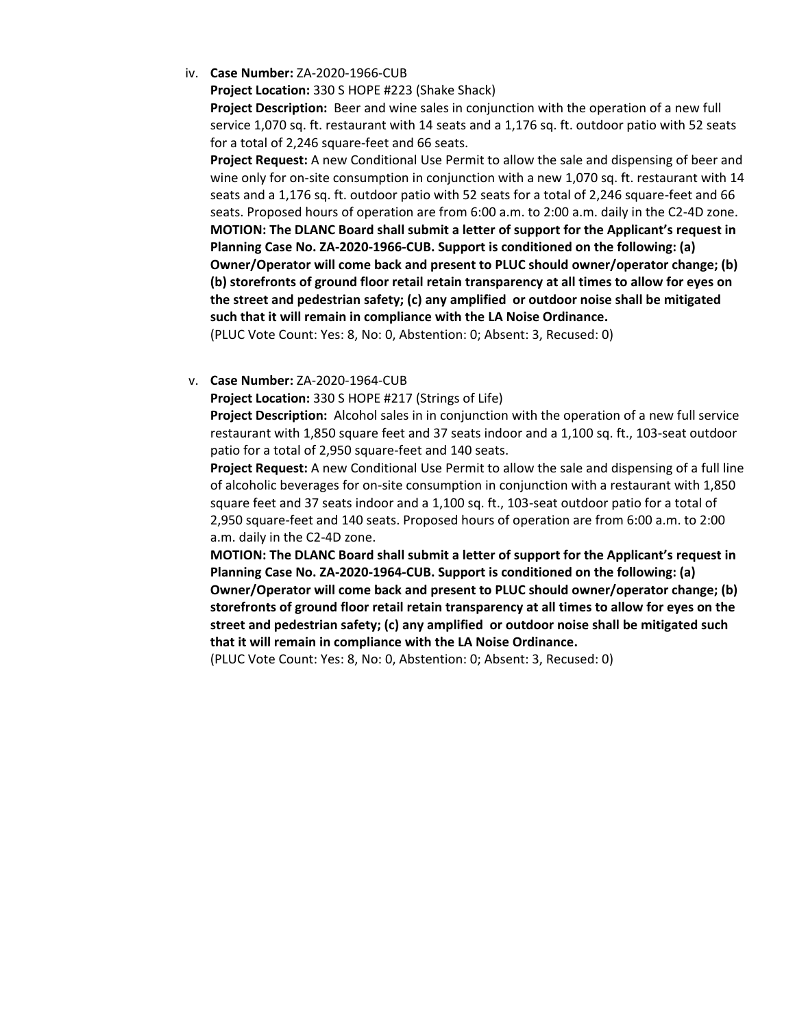iv. **Case Number:** ZA-2020-1966-CUB

**Project Location:** 330 S HOPE #223 (Shake Shack)

**Project Description:** Beer and wine sales in conjunction with the operation of a new full service 1,070 sq. ft. restaurant with 14 seats and a 1,176 sq. ft. outdoor patio with 52 seats for a total of 2,246 square-feet and 66 seats.

**Project Request:** A new Conditional Use Permit to allow the sale and dispensing of beer and wine only for on-site consumption in conjunction with a new 1,070 sq. ft. restaurant with 14 seats and a 1,176 sq. ft. outdoor patio with 52 seats for a total of 2,246 square-feet and 66 seats. Proposed hours of operation are from 6:00 a.m. to 2:00 a.m. daily in the C2-4D zone. **MOTION: The DLANC Board shall submit a letter of support for the Applicant's request in Planning Case No. ZA-2020-1966-CUB. Support is conditioned on the following: (a) Owner/Operator will come back and present to PLUC should owner/operator change; (b) (b) storefronts of ground floor retail retain transparency at all times to allow for eyes on the street and pedestrian safety; (c) any amplified or outdoor noise shall be mitigated such that it will remain in compliance with the LA Noise Ordinance.** (PLUC Vote Count: Yes: 8, No: 0, Abstention: 0; Absent: 3, Recused: 0)

v. **Case Number:** ZA-2020-1964-CUB

**Project Location:** 330 S HOPE #217 (Strings of Life)

**Project Description:** Alcohol sales in in conjunction with the operation of a new full service restaurant with 1,850 square feet and 37 seats indoor and a 1,100 sq. ft., 103-seat outdoor patio for a total of 2,950 square-feet and 140 seats.

**Project Request:** A new Conditional Use Permit to allow the sale and dispensing of a full line of alcoholic beverages for on-site consumption in conjunction with a restaurant with 1,850 square feet and 37 seats indoor and a 1,100 sq. ft., 103-seat outdoor patio for a total of 2,950 square-feet and 140 seats. Proposed hours of operation are from 6:00 a.m. to 2:00 a.m. daily in the C2-4D zone.

**MOTION: The DLANC Board shall submit a letter of support for the Applicant's request in Planning Case No. ZA-2020-1964-CUB. Support is conditioned on the following: (a) Owner/Operator will come back and present to PLUC should owner/operator change; (b) storefronts of ground floor retail retain transparency at all times to allow for eyes on the street and pedestrian safety; (c) any amplified or outdoor noise shall be mitigated such that it will remain in compliance with the LA Noise Ordinance.**

(PLUC Vote Count: Yes: 8, No: 0, Abstention: 0; Absent: 3, Recused: 0)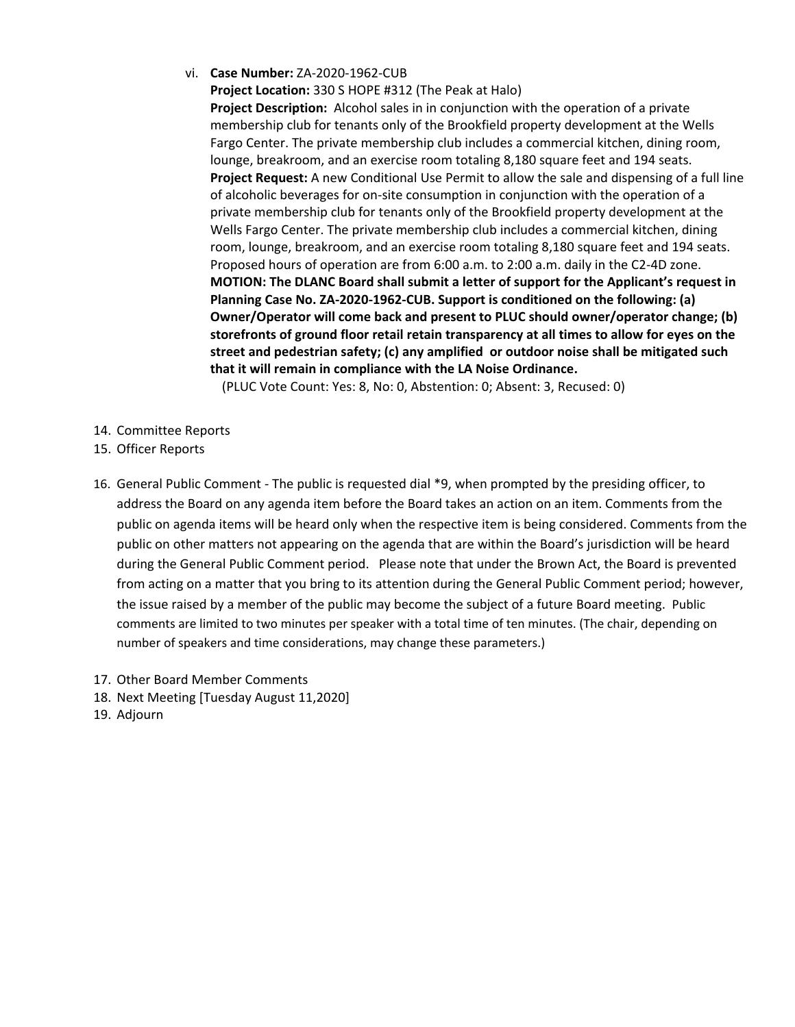vi. **Case Number:** ZA-2020-1962-CUB

**Project Location:** 330 S HOPE #312 (The Peak at Halo) **Project Description:** Alcohol sales in in conjunction with the operation of a private membership club for tenants only of the Brookfield property development at the Wells Fargo Center. The private membership club includes a commercial kitchen, dining room, lounge, breakroom, and an exercise room totaling 8,180 square feet and 194 seats. **Project Request:** A new Conditional Use Permit to allow the sale and dispensing of a full line of alcoholic beverages for on-site consumption in conjunction with the operation of a private membership club for tenants only of the Brookfield property development at the Wells Fargo Center. The private membership club includes a commercial kitchen, dining room, lounge, breakroom, and an exercise room totaling 8,180 square feet and 194 seats. Proposed hours of operation are from 6:00 a.m. to 2:00 a.m. daily in the C2-4D zone. **MOTION: The DLANC Board shall submit a letter of support for the Applicant's request in Planning Case No. ZA-2020-1962-CUB. Support is conditioned on the following: (a) Owner/Operator will come back and present to PLUC should owner/operator change; (b) storefronts of ground floor retail retain transparency at all times to allow for eyes on the street and pedestrian safety; (c) any amplified or outdoor noise shall be mitigated such that it will remain in compliance with the LA Noise Ordinance.**

(PLUC Vote Count: Yes: 8, No: 0, Abstention: 0; Absent: 3, Recused: 0)

- 14. Committee Reports
- 15. Officer Reports
- 16. General Public Comment The public is requested dial \*9, when prompted by the presiding officer, to address the Board on any agenda item before the Board takes an action on an item. Comments from the public on agenda items will be heard only when the respective item is being considered. Comments from the public on other matters not appearing on the agenda that are within the Board's jurisdiction will be heard during the General Public Comment period. Please note that under the Brown Act, the Board is prevented from acting on a matter that you bring to its attention during the General Public Comment period; however, the issue raised by a member of the public may become the subject of a future Board meeting. Public comments are limited to two minutes per speaker with a total time of ten minutes. (The chair, depending on number of speakers and time considerations, may change these parameters.)
- 17. Other Board Member Comments
- 18. Next Meeting [Tuesday August 11,2020]
- 19. Adjourn